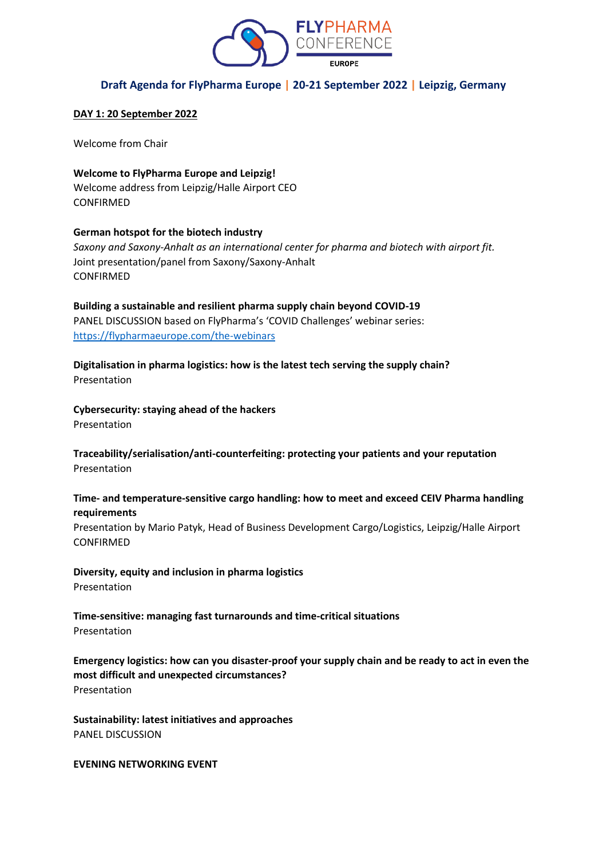

# **Draft Agenda for FlyPharma Europe | 20-21 September 2022 | Leipzig, Germany**

### **DAY 1: 20 September 2022**

Welcome from Chair

**Welcome to FlyPharma Europe and Leipzig!**  Welcome address from Leipzig/Halle Airport CEO CONFIRMED

### **German hotspot for the biotech industry**

*Saxony and Saxony-Anhalt as an international center for pharma and biotech with airport fit.* Joint presentation/panel from Saxony/Saxony-Anhalt CONFIRMED

**Building a sustainable and resilient pharma supply chain beyond COVID-19** PANEL DISCUSSION based on FlyPharma's 'COVID Challenges' webinar series: <https://flypharmaeurope.com/the-webinars>

**Digitalisation in pharma logistics: how is the latest tech serving the supply chain?**  Presentation

**Cybersecurity: staying ahead of the hackers**  Presentation

**Traceability/serialisation/anti-counterfeiting: protecting your patients and your reputation**  Presentation

### **Time- and temperature-sensitive cargo handling: how to meet and exceed CEIV Pharma handling requirements**

Presentation by Mario Patyk, Head of Business Development Cargo/Logistics, Leipzig/Halle Airport CONFIRMED

**Diversity, equity and inclusion in pharma logistics**  Presentation

**Time-sensitive: managing fast turnarounds and time-critical situations**  Presentation

**Emergency logistics: how can you disaster-proof your supply chain and be ready to act in even the most difficult and unexpected circumstances?**  Presentation

**Sustainability: latest initiatives and approaches**  PANEL DISCUSSION

**EVENING NETWORKING EVENT**